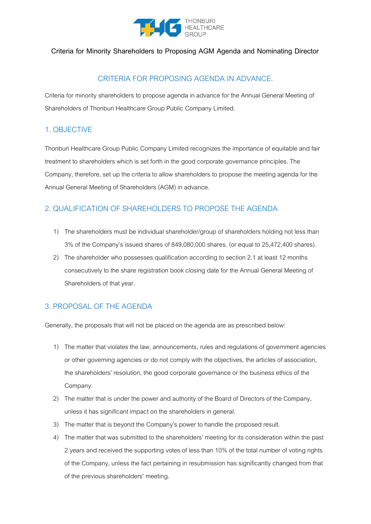

### **Criteria for Minority Shareholders to Proposing AGM Agenda and Nominating Director**

# CRITERIA FOR PROPOSING AGENDA IN ADVANCE.

Criteria for minority shareholders to propose agenda in advance for the Annual General Meeting of Shareholders of Thonburi Healthcare Group Public Company Limited.

### 1. OBJECTIVE

Thonburi Healthcare Group Public Company Limited recognizes the importance of equitable and fair treatment to shareholders which is set forth in the good corporate governance principles. The Company, therefore, set up the criteria to allow shareholders to propose the meeting agenda for the Annual General Meeting of Shareholders (AGM) in advance.

# 2. QUALIFICATION OF SHAREHOLDERS TO PROPOSE THE AGENDA

- 1) The shareholders must be individual shareholder/group of shareholders holding not less than 3% of the Company's issued shares of 849,080,000 shares. (or equal to 25,472,400 shares).
- 2) The shareholder who possesses qualification according to section 2.1 at least 12 months consecutively to the share registration book closing date for the Annual General Meeting of Shareholders of that year.

## 3. PROPOSAL OF THE AGENDA

Generally, the proposals that will not be placed on the agenda are as prescribed below:

- 1) The matter that violates the law, announcements, rules and regulations of government agencies or other governing agencies or do not comply with the objectives, the articles of association, the shareholders' resolution, the good corporate governance or the business ethics of the Company.
- 2) The matter that is under the power and authority of the Board of Directors of the Company, unless it has significant impact on the shareholders in general.
- 3) The matter that is beyond the Company's power to handle the proposed result.
- 4) The matter that was submitted to the shareholders' meeting for its consideration within the past 2 years and received the supporting votes of less than 10% of the total number of voting rights of the Company, unless the fact pertaining in resubmission has significantly changed from that of the previous shareholders' meeting.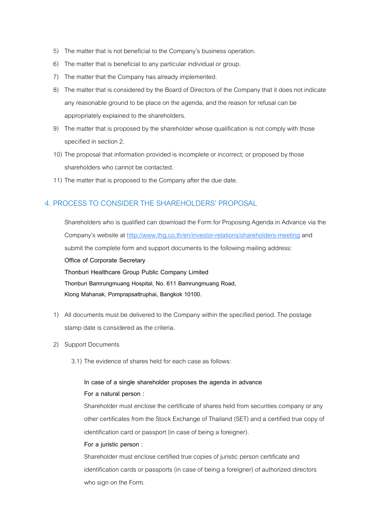- 5) The matter that is not beneficial to the Company's business operation.
- 6) The matter that is beneficial to any particular individual or group.
- 7) The matter that the Company has already implemented.
- 8) The matter that is considered by the Board of Directors of the Company that it does not indicate any reasonable ground to be place on the agenda, and the reason for refusal can be appropriately explained to the shareholders.
- 9) The matter that is proposed by the shareholder whose qualification is not comply with those specified in section 2.
- 10) The proposal that information provided is incomplete or incorrect; or proposed by those shareholders who cannot be contacted.
- 11) The matter that is proposed to the Company after the due date.

### 4. PROCESS TO CONSIDER THE SHAREHOLDERS' PROPOSAL

Shareholders who is qualified can download the Form for Proposing Agenda in Advance via the Company's website at http://www.thg.co.th/en/investor-relations/shareholders-meeting and submit the complete form and support documents to the following mailing address: **Office of Corporate Secretary Thonburi Healthcare Group Public Company Limited Thonburi Bamrungmuang Hospital, No. 611 Bamrungmuang Road, Klong Mahanak, Pomprapsattruphai, Bangkok 10100.**

- 1) All documents must be delivered to the Company within the specified period. The postage stamp date is considered as the criteria.
- 2) Support Documents
	- 3.1) The evidence of shares held for each case as follows:

### **In case of a single shareholder proposes the agenda in advance**

### **For a natural person :**

Shareholder must enclose the certificate of shares held from securities company or any other certificates from the Stock Exchange of Thailand (SET) and a certified true copy of identification card or passport (in case of being a foreigner).

#### **For a juristic person :**

Shareholder must enclose certified true copies of juristic person certificate and identification cards or passports (in case of being a foreigner) of authorized directors who sign on the Form.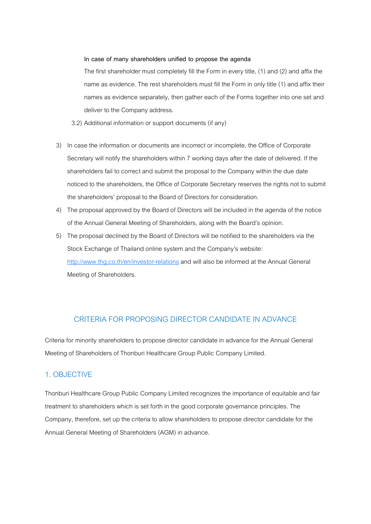#### **In case of many shareholders unified to propose the agenda**

The first shareholder must completely fill the Form in every title, (1) and (2) and affix the name as evidence. The rest shareholders must fill the Form in only title (1) and affix their names as evidence separately, then gather each of the Forms together into one set and deliver to the Company address.

- 3.2) Additional information or support documents (if any)
- 3) In case the information or documents are incorrect or incomplete, the Office of Corporate Secretary will notify the shareholders within 7 working days after the date of delivered. If the shareholders fail to correct and submit the proposal to the Company within the due date noticed to the shareholders, the Office of Corporate Secretary reserves the rights not to submit the shareholders' proposal to the Board of Directors for consideration.
- 4) The proposal approved by the Board of Directors will be included in the agenda of the notice of the Annual General Meeting of Shareholders, along with the Board's opinion.
- 5) The proposal declined by the Board of Directors will be notified to the shareholders via the Stock Exchange of Thailand online system and the Company's website: http://www.thg.co.th/en/investor-relations and will also be informed at the Annual General Meeting of Shareholders.

### CRITERIA FOR PROPOSING DIRECTOR CANDIDATE IN ADVANCE

Criteria for minority shareholders to propose director candidate in advance for the Annual General Meeting of Shareholders of Thonburi Healthcare Group Public Company Limited.

### 1. OBJECTIVE

Thonburi Healthcare Group Public Company Limited recognizes the importance of equitable and fair treatment to shareholders which is set forth in the good corporate governance principles. The Company, therefore, set up the criteria to allow shareholders to propose director candidate for the Annual General Meeting of Shareholders (AGM) in advance.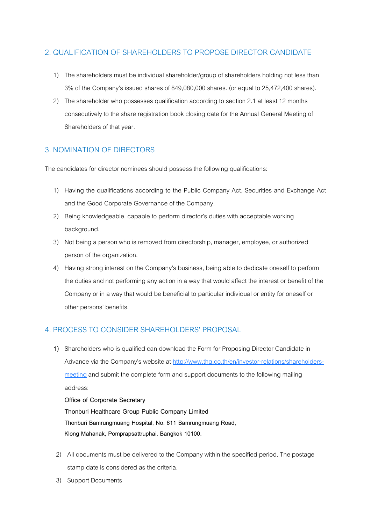## 2. QUALIFICATION OF SHAREHOLDERS TO PROPOSE DIRECTOR CANDIDATE

- 1) The shareholders must be individual shareholder/group of shareholders holding not less than 3% of the Company's issued shares of 849,080,000 shares. (or equal to 25,472,400 shares).
- 2) The shareholder who possesses qualification according to section 2.1 at least 12 months consecutively to the share registration book closing date for the Annual General Meeting of Shareholders of that year.

## 3. NOMINATION OF DIRECTORS

The candidates for director nominees should possess the following qualifications:

- 1) Having the qualifications according to the Public Company Act, Securities and Exchange Act and the Good Corporate Governance of the Company.
- 2) Being knowledgeable, capable to perform director's duties with acceptable working background.
- 3) Not being a person who is removed from directorship, manager, employee, or authorized person of the organization.
- 4) Having strong interest on the Company's business, being able to dedicate oneself to perform the duties and not performing any action in a way that would affect the interest or benefit of the Company or in a way that would be beneficial to particular individual or entity for oneself or other persons' benefits.

## 4. PROCESS TO CONSIDER SHAREHOLDERS' PROPOSAL

**1)** Shareholders who is qualified can download the Form for Proposing Director Candidate in Advance via the Company's website at http://www.thg.co.th/en/investor-relations/shareholdersmeeting and submit the complete form and support documents to the following mailing address:

**Office of Corporate Secretary Thonburi Healthcare Group Public Company Limited Thonburi Bamrungmuang Hospital, No. 611 Bamrungmuang Road, Klong Mahanak, Pomprapsattruphai, Bangkok 10100.**

- 2) All documents must be delivered to the Company within the specified period. The postage stamp date is considered as the criteria.
- 3) Support Documents